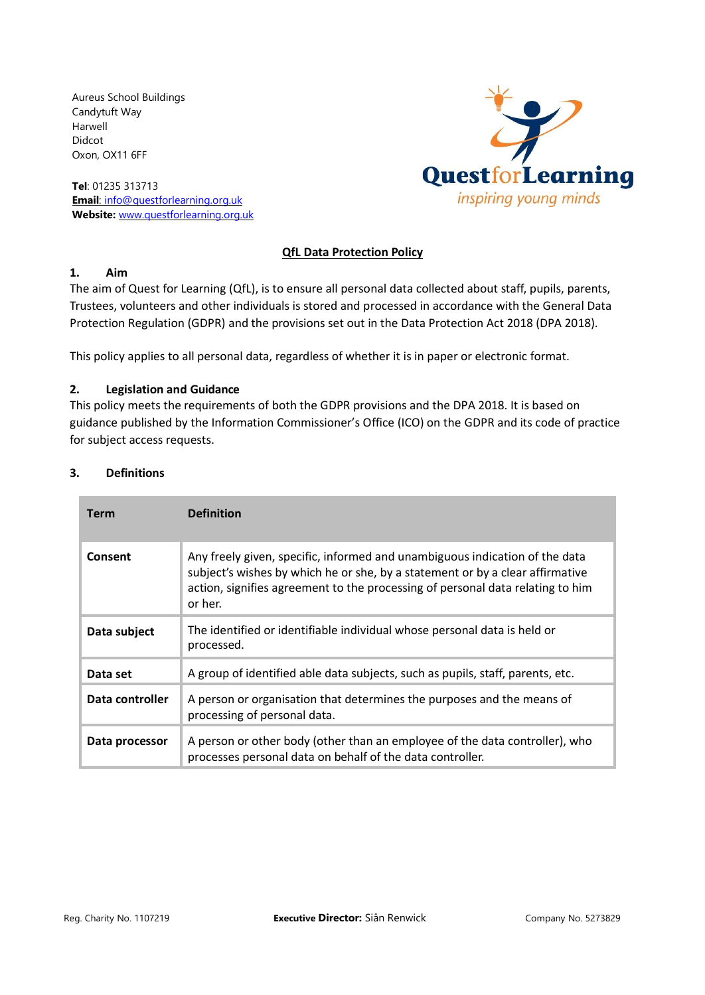Aureus School Buildings Candytuft Way Harwell Didcot Oxon, OX11 6FF

**Tel**: 01235 313713 **Email**: [info@questforlearning.org.uk](mailto:info@questforlearning.org.uk) **Website:** [www.questforlearning.org.uk](http://www.questforlearning.org.uk/)



# **QfL Data Protection Policy**

### **1. Aim**

The aim of Quest for Learning (QfL), is to ensure all personal data collected about staff, pupils, parents, Trustees, volunteers and other individuals is stored and processed in accordance with [the General Data](http://data.consilium.europa.eu/doc/document/ST-5419-2016-INIT/en/pdf)  [Protection Regulation \(GDPR\)](http://data.consilium.europa.eu/doc/document/ST-5419-2016-INIT/en/pdf) and the provisions set out in the Data Protection Act 2018 (DPA 2018).

This policy applies to all personal data, regardless of whether it is in paper or electronic format.

## **2. Legislation and Guidance**

This policy meets the requirements of both the GDPR provisions and the DPA 2018. It is based on guidance published by the Information Commissioner's Office (ICO) on the [GDPR](https://ico.org.uk/for-organisations/guide-to-the-general-data-protection-regulation-gdpr/) and i[ts code of practice](https://ico.org.uk/media/for-organisations/documents/2014223/subject-access-code-of-practice.pdf) for [subject access](https://ico.org.uk/media/for-organisations/documents/2014223/subject-access-code-of-practice.pdf) requests.

# **3. Definitions**

| <b>Term</b>     | <b>Definition</b>                                                                                                                                                                                                                                         |
|-----------------|-----------------------------------------------------------------------------------------------------------------------------------------------------------------------------------------------------------------------------------------------------------|
| Consent         | Any freely given, specific, informed and unambiguous indication of the data<br>subject's wishes by which he or she, by a statement or by a clear affirmative<br>action, signifies agreement to the processing of personal data relating to him<br>or her. |
| Data subject    | The identified or identifiable individual whose personal data is held or<br>processed.                                                                                                                                                                    |
| Data set        | A group of identified able data subjects, such as pupils, staff, parents, etc.                                                                                                                                                                            |
| Data controller | A person or organisation that determines the purposes and the means of<br>processing of personal data.                                                                                                                                                    |
| Data processor  | A person or other body (other than an employee of the data controller), who<br>processes personal data on behalf of the data controller.                                                                                                                  |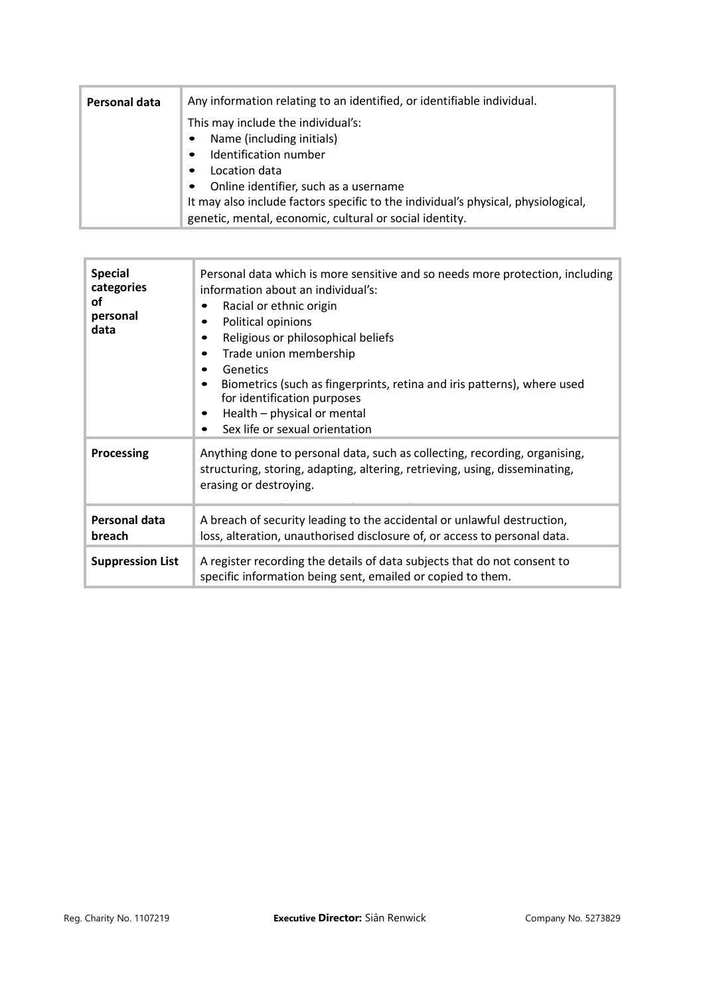| Personal data | Any information relating to an identified, or identifiable individual.            |
|---------------|-----------------------------------------------------------------------------------|
|               | This may include the individual's:                                                |
|               | Name (including initials)<br>$\bullet$                                            |
|               | Identification number<br>$\bullet$                                                |
|               | Location data<br>$\bullet$                                                        |
|               | Online identifier, such as a username<br>$\bullet$                                |
|               | It may also include factors specific to the individual's physical, physiological, |
|               | genetic, mental, economic, cultural or social identity.                           |

| <b>Special</b><br>categories<br>Ωf<br>personal<br>data | Personal data which is more sensitive and so needs more protection, including<br>information about an individual's:<br>Racial or ethnic origin<br>٠<br>Political opinions<br>Religious or philosophical beliefs<br>Trade union membership<br>Genetics<br>Biometrics (such as fingerprints, retina and iris patterns), where used<br>for identification purposes<br>Health - physical or mental<br>Sex life or sexual orientation |
|--------------------------------------------------------|----------------------------------------------------------------------------------------------------------------------------------------------------------------------------------------------------------------------------------------------------------------------------------------------------------------------------------------------------------------------------------------------------------------------------------|
| Processing                                             | Anything done to personal data, such as collecting, recording, organising,<br>structuring, storing, adapting, altering, retrieving, using, disseminating,<br>erasing or destroying.                                                                                                                                                                                                                                              |
| Personal data<br>breach                                | A breach of security leading to the accidental or unlawful destruction,<br>loss, alteration, unauthorised disclosure of, or access to personal data.                                                                                                                                                                                                                                                                             |
| <b>Suppression List</b>                                | A register recording the details of data subjects that do not consent to<br>specific information being sent, emailed or copied to them.                                                                                                                                                                                                                                                                                          |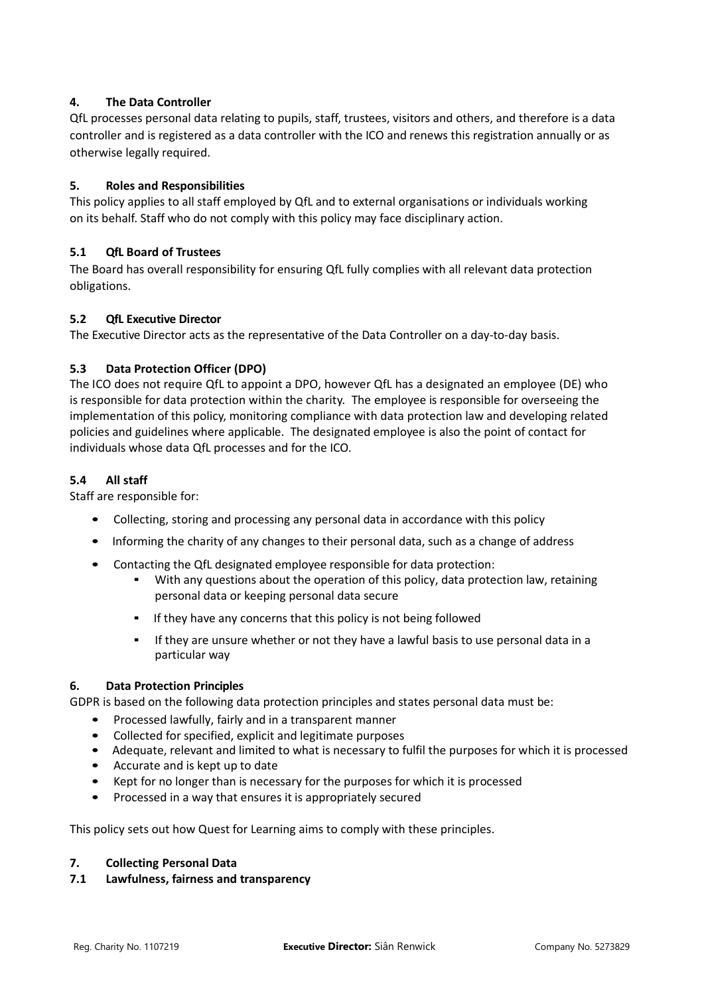# **4. The Data Controller**

QfL processes personal data relating to pupils, staff, trustees, visitors and others, and therefore is a data controller and is registered as a data controller with the ICO and renews this registration annually or as otherwise legally required.

# **5. Roles and Responsibilities**

This policy applies to all staff employed by QfL and to external organisations or individuals working on its behalf. Staff who do not comply with this policy may face disciplinary action.

## **5.1 QfL Board of Trustees**

The Board has overall responsibility for ensuring QfL fully complies with all relevant data protection obligations.

## **5.2 QfL Executive Director**

The Executive Director acts as the representative of the Data Controller on a day-to-day basis.

## **5.3 Data Protection Officer (DPO)**

The ICO does not require QfL to appoint a DPO, however QfL has a designated an employee (DE) who is responsible for data protection within the charity. The employee is responsible for overseeing the implementation of this policy, monitoring compliance with data protection law and developing related policies and guidelines where applicable. The designated employee is also the point of contact for individuals whose data QfL processes and for the ICO.

### **5.4 All staff**

Staff are responsible for:

- Collecting, storing and processing any personal data in accordance with this policy
- Informing the charity of any changes to their personal data, such as a change of address
- Contacting the QfL designated employee responsible for data protection:
	- **•** With any questions about the operation of this policy, data protection law, retaining personal data or keeping personal data secure
	- If they have any concerns that this policy is not being followed
	- **.** If they are unsure whether or not they have a lawful basis to use personal data in a particular way

### **6. Data Protection Principles**

GDPR is based on the following data protection principles and states personal data must be:

- Processed lawfully, fairly and in a transparent manner
- Collected for specified, explicit and legitimate purposes
- Adequate, relevant and limited to what is necessary to fulfil the purposes for which it is processed
- Accurate and is kept up to date
- Kept for no longer than is necessary for the purposes for which it is processed
- Processed in a way that ensures it is appropriately secured

This policy sets out how Quest for Learning aims to comply with these principles.

### **7. Collecting Personal Data**

### **7.1 Lawfulness, fairness and transparency**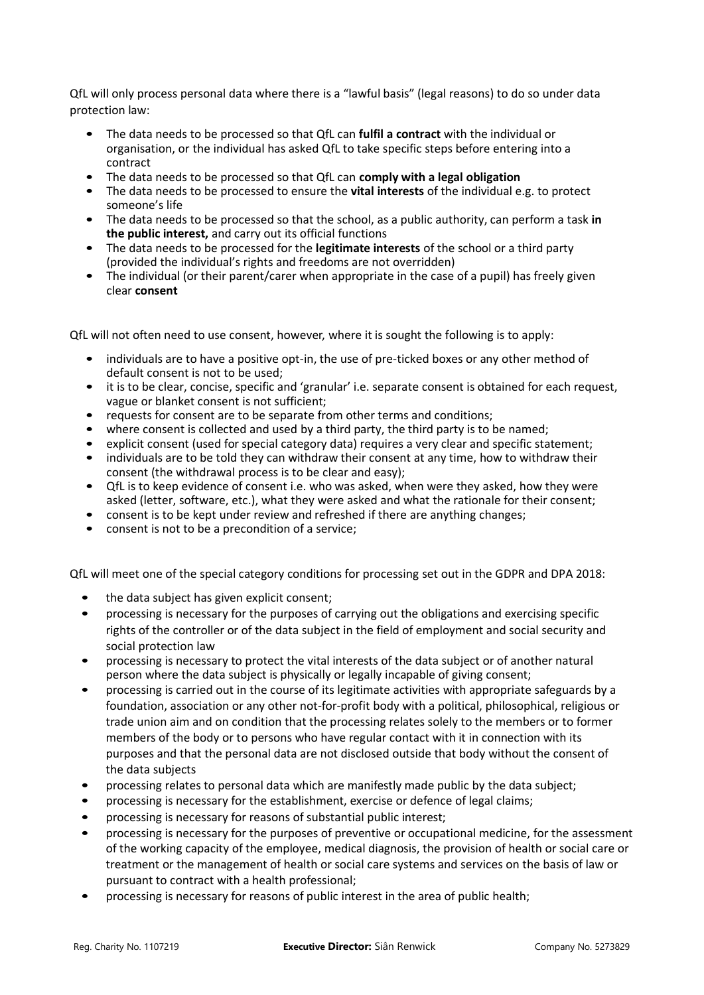QfL will only process personal data where there is a "lawful basis" (legal reasons) to do so under data protection law:

- The data needs to be processed so that QfL can **fulfil a contract** with the individual or organisation, or the individual has asked QfL to take specific steps before entering into a contract
- The data needs to be processed so that QfL can **comply with a legal obligation**
- The data needs to be processed to ensure the **vital interests** of the individual e.g. to protect someone's life
- The data needs to be processed so that the school, as a public authority, can perform a task **in the public interest,** and carry out its official functions
- The data needs to be processed for the **legitimate interests** of the school or a third party (provided the individual's rights and freedoms are not overridden)
- The individual (or their parent/carer when appropriate in the case of a pupil) has freely given clear **consent**

QfL will not often need to use consent, however, where it is sought the following is to apply:

- individuals are to have a positive opt-in, the use of pre-ticked boxes or any other method of default consent is not to be used;
- it is to be clear, concise, specific and 'granular' i.e. separate consent is obtained for each request, vague or blanket consent is not sufficient;
- requests for consent are to be separate from other terms and conditions;
- where consent is collected and used by a third party, the third party is to be named;
- explicit consent (used for special category data) requires a very clear and specific statement;
- individuals are to be told they can withdraw their consent at any time, how to withdraw their consent (the withdrawal process is to be clear and easy);
- QfL is to keep evidence of consent i.e. who was asked, when were they asked, how they were asked (letter, software, etc.), what they were asked and what the rationale for their consent;
- consent is to be kept under review and refreshed if there are anything changes;
- consent is not to be a precondition of a service;

QfL will meet one of the special category conditions for processing set out in the GDPR and DPA 2018:

- the data subject has given explicit consent;
- processing is necessary for the purposes of carrying out the obligations and exercising specific rights of the controller or of the data subject in the field of employment and social security and social protection law
- processing is necessary to protect the vital interests of the data subject or of another natural person where the data subject is physically or legally incapable of giving consent;
- processing is carried out in the course of its legitimate activities with appropriate safeguards by a foundation, association or any other not-for-profit body with a political, philosophical, religious or trade union aim and on condition that the processing relates solely to the members or to former members of the body or to persons who have regular contact with it in connection with its purposes and that the personal data are not disclosed outside that body without the consent of the data subjects
- processing relates to personal data which are manifestly made public by the data subject;
- processing is necessary for the establishment, exercise or defence of legal claims;
- processing is necessary for reasons of substantial public interest;
- processing is necessary for the purposes of preventive or occupational medicine, for the assessment of the working capacity of the employee, medical diagnosis, the provision of health or social care or treatment or the management of health or social care systems and services on the basis of law or pursuant to contract with a health professional;
- processing is necessary for reasons of public interest in the area of public health;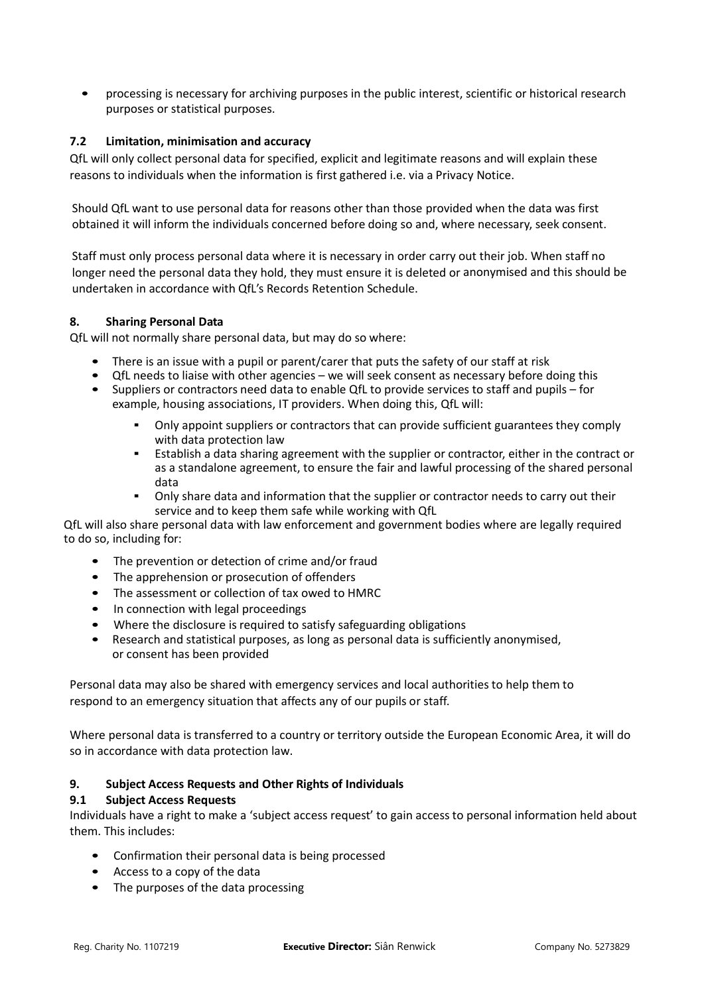• processing is necessary for archiving purposes in the public interest, scientific or historical research purposes or statistical purposes.

## **7.2 Limitation, minimisation and accuracy**

QfL will only collect personal data for specified, explicit and legitimate reasons and will explain these reasons to individuals when the information is first gathered i.e. via a Privacy Notice.

Should QfL want to use personal data for reasons other than those provided when the data was first obtained it will inform the individuals concerned before doing so and, where necessary, seek consent.

Staff must only process personal data where it is necessary in order carry out their job. When staff no longer need the personal data they hold, they must ensure it is deleted or anonymised and this should be undertaken in accordance with QfL's Records Retention Schedule.

### **8. Sharing Personal Data**

QfL will not normally share personal data, but may do so where:

- There is an issue with a pupil or parent/carer that puts the safety of our staff at risk
- QfL needs to liaise with other agencies we will seek consent as necessary before doing this
- Suppliers or contractors need data to enable QfL to provide services to staff and pupils for example, housing associations, IT providers. When doing this, QfL will:
	- Only appoint suppliers or contractors that can provide sufficient guarantees they comply with data protection law
	- Establish a data sharing agreement with the supplier or contractor, either in the contract or as a standalone agreement, to ensure the fair and lawful processing of the shared personal data
	- Only share data and information that the supplier or contractor needs to carry out their service and to keep them safe while working with QfL

QfL will also share personal data with law enforcement and government bodies where are legally required to do so, including for:

- The prevention or detection of crime and/or fraud
- The apprehension or prosecution of offenders
- The assessment or collection of tax owed to HMRC
- In connection with legal proceedings
- Where the disclosure is required to satisfy safeguarding obligations
- Research and statistical purposes, as long as personal data is sufficiently anonymised, or consent has been provided

Personal data may also be shared with emergency services and local authorities to help them to respond to an emergency situation that affects any of our pupils or staff.

Where personal data is transferred to a country or territory outside the European Economic Area, it will do so in accordance with data protection law.

### **9. Subject Access Requests and Other Rights of Individuals**

### **9.1 Subject Access Requests**

Individuals have a right to make a 'subject access request' to gain access to personal information held about them. This includes:

- Confirmation their personal data is being processed
- Access to a copy of the data
- The purposes of the data processing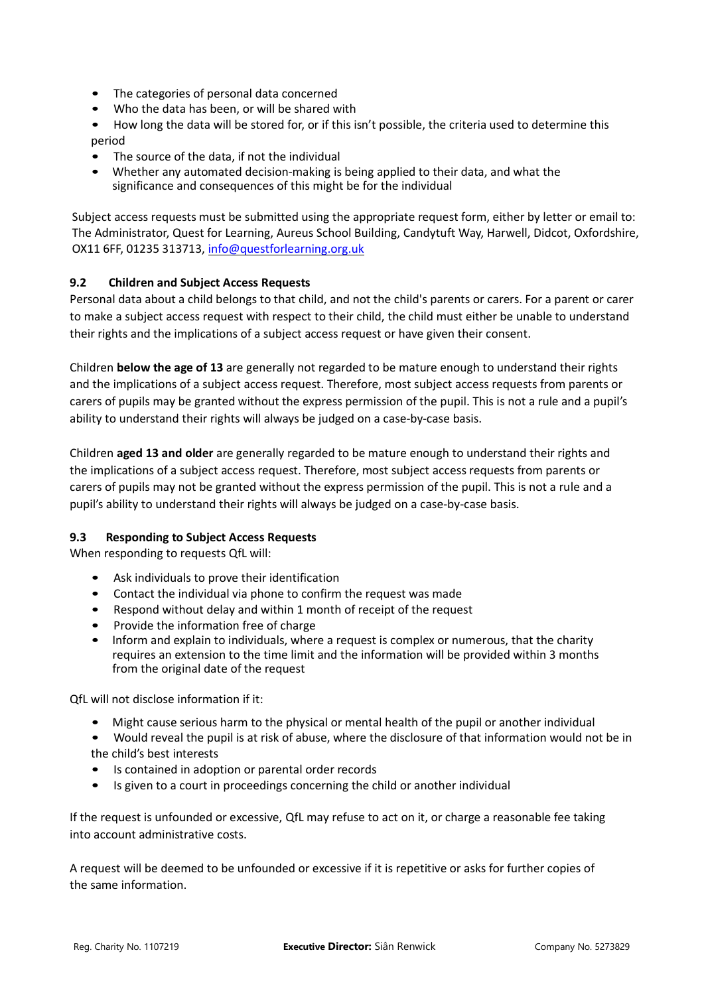- The categories of personal data concerned
- Who the data has been, or will be shared with
- How long the data will be stored for, or if this isn't possible, the criteria used to determine this period
- The source of the data, if not the individual
- Whether any automated decision-making is being applied to their data, and what the significance and consequences of this might be for the individual

Subject access requests must be submitted using the appropriate request form, either by letter or email to: The Administrator, Quest for Learning, Aureus School Building, Candytuft Way, Harwell, Didcot, Oxfordshire, OX11 6FF, 01235 313713, [info@questforlearning.org.uk](mailto:info@questforlearning.org.uk)

## **9.2 Children and Subject Access Requests**

Personal data about a child belongs to that child, and not the child's parents or carers. For a parent or carer to make a subject access request with respect to their child, the child must either be unable to understand their rights and the implications of a subject access request or have given their consent.

Children **below the age of 13** are generally not regarded to be mature enough to understand their rights and the implications of a subject access request. Therefore, most subject access requests from parents or carers of pupils may be granted without the express permission of the pupil. This is not a rule and a pupil's ability to understand their rights will always be judged on a case-by-case basis.

Children **aged 13 and older** are generally regarded to be mature enough to understand their rights and the implications of a subject access request. Therefore, most subject access requests from parents or carers of pupils may not be granted without the express permission of the pupil. This is not a rule and a pupil's ability to understand their rights will always be judged on a case-by-case basis.

### **9.3 Responding to Subject Access Requests**

When responding to requests QfL will:

- Ask individuals to prove their identification
- Contact the individual via phone to confirm the request was made
- Respond without delay and within 1 month of receipt of the request
- Provide the information free of charge
- Inform and explain to individuals, where a request is complex or numerous, that the charity requires an extension to the time limit and the information will be provided within 3 months from the original date of the request

QfL will not disclose information if it:

- Might cause serious harm to the physical or mental health of the pupil or another individual
- Would reveal the pupil is at risk of abuse, where the disclosure of that information would not be in the child's best interests
- Is contained in adoption or parental order records
- Is given to a court in proceedings concerning the child or another individual

If the request is unfounded or excessive, QfL may refuse to act on it, or charge a reasonable fee taking into account administrative costs.

A request will be deemed to be unfounded or excessive if it is repetitive or asks for further copies of the same information.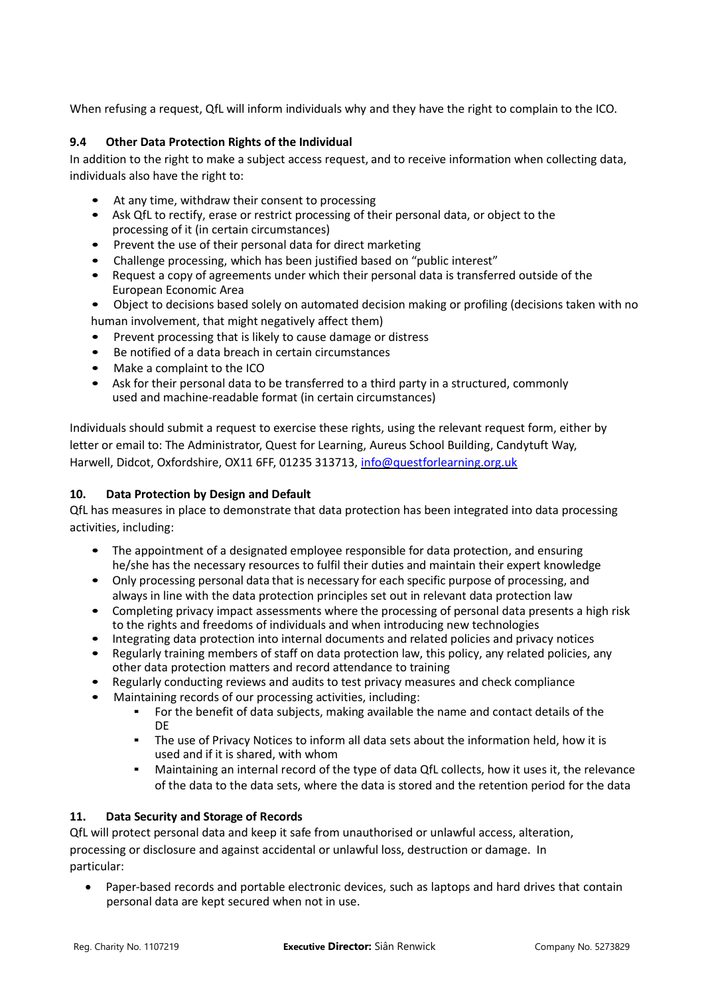When refusing a request, QfL will inform individuals why and they have the right to complain to the ICO.

## **9.4 Other Data Protection Rights of the Individual**

In addition to the right to make a subject access request, and to receive information when collecting data, individuals also have the right to:

- At any time, withdraw their consent to processing
- Ask QfL to rectify, erase or restrict processing of their personal data, or object to the processing of it (in certain circumstances)
- Prevent the use of their personal data for direct marketing
- Challenge processing, which has been justified based on "public interest"
- Request a copy of agreements under which their personal data is transferred outside of the European Economic Area
- Object to decisions based solely on automated decision making or profiling (decisions taken with no human involvement, that might negatively affect them)
- Prevent processing that is likely to cause damage or distress
- Be notified of a data breach in certain circumstances
- Make a complaint to the ICO
- Ask for their personal data to be transferred to a third party in a structured, commonly used and machine-readable format (in certain circumstances)

Individuals should submit a request to exercise these rights, using the relevant request form, either by letter or email to: The Administrator, Quest for Learning, Aureus School Building, Candytuft Way, Harwell, Didcot, Oxfordshire, OX11 6FF, 01235 313713, [info@questforlearning.org.uk](mailto:info@questforlearning.org.uk)

### **10. Data Protection by Design and Default**

QfL has measures in place to demonstrate that data protection has been integrated into data processing activities, including:

- The appointment of a designated employee responsible for data protection, and ensuring he/she has the necessary resources to fulfil their duties and maintain their expert knowledge
- Only processing personal data that is necessary for each specific purpose of processing, and always in line with the data protection principles set out in relevant data protection law
- Completing privacy impact assessments where the processing of personal data presents a high risk to the rights and freedoms of individuals and when introducing new technologies
- Integrating data protection into internal documents and related policies and privacy notices
- Regularly training members of staff on data protection law, this policy, any related policies, any other data protection matters and record attendance to training
- Regularly conducting reviews and audits to test privacy measures and check compliance
- Maintaining records of our processing activities, including:
	- **•** For the benefit of data subjects, making available the name and contact details of the DE
	- The use of Privacy Notices to inform all data sets about the information held, how it is used and if it is shared, with whom
	- Maintaining an internal record of the type of data QfL collects, how it uses it, the relevance of the data to the data sets, where the data is stored and the retention period for the data

### **11. Data Security and Storage of Records**

QfL will protect personal data and keep it safe from unauthorised or unlawful access, alteration, processing or disclosure and against accidental or unlawful loss, destruction or damage. In particular:

• Paper-based records and portable electronic devices, such as laptops and hard drives that contain personal data are kept secured when not in use.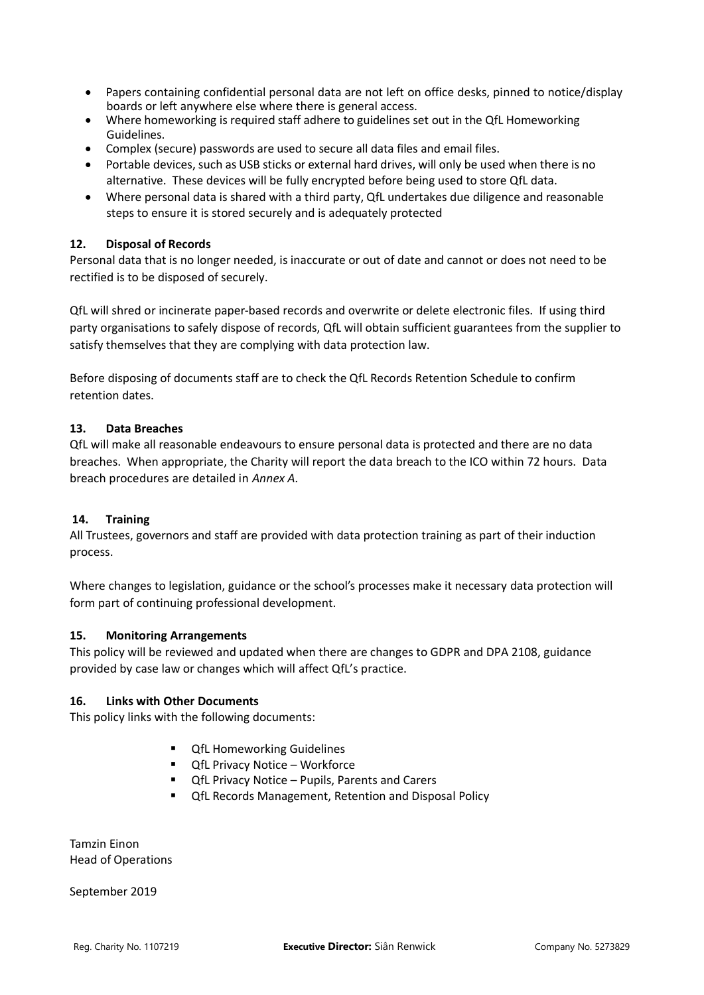- Papers containing confidential personal data are not left on office desks, pinned to notice/display boards or left anywhere else where there is general access.
- Where homeworking is required staff adhere to guidelines set out in the QfL Homeworking Guidelines.
- Complex (secure) passwords are used to secure all data files and email files.
- Portable devices, such as USB sticks or external hard drives, will only be used when there is no alternative. These devices will be fully encrypted before being used to store QfL data.
- Where personal data is shared with a third party, QfL undertakes due diligence and reasonable steps to ensure it is stored securely and is adequately protected

### **12. Disposal of Records**

Personal data that is no longer needed, is inaccurate or out of date and cannot or does not need to be rectified is to be disposed of securely.

QfL will shred or incinerate paper-based records and overwrite or delete electronic files. If using third party organisations to safely dispose of records, QfL will obtain sufficient guarantees from the supplier to satisfy themselves that they are complying with data protection law.

Before disposing of documents staff are to check the QfL Records Retention Schedule to confirm retention dates.

#### **13. Data Breaches**

QfL will make all reasonable endeavours to ensure personal data is protected and there are no data breaches. When appropriate, the Charity will report the data breach to the ICO within 72 hours. Data breach procedures are detailed in *Annex A.*

### **14. Training**

All Trustees, governors and staff are provided with data protection training as part of their induction process.

Where changes to legislation, guidance or the school's processes make it necessary data protection will form part of continuing professional development.

#### **15. Monitoring Arrangements**

This policy will be reviewed and updated when there are changes to GDPR and DPA 2108, guidance provided by case law or changes which will affect QfL's practice.

#### **16. Links with Other Documents**

This policy links with the following documents:

- QfL Homeworking Guidelines
- QfL Privacy Notice Workforce
- **QfL Privacy Notice Pupils, Parents and Carers**
- QfL Records Management, Retention and Disposal Policy

Tamzin Einon Head of Operations

September 2019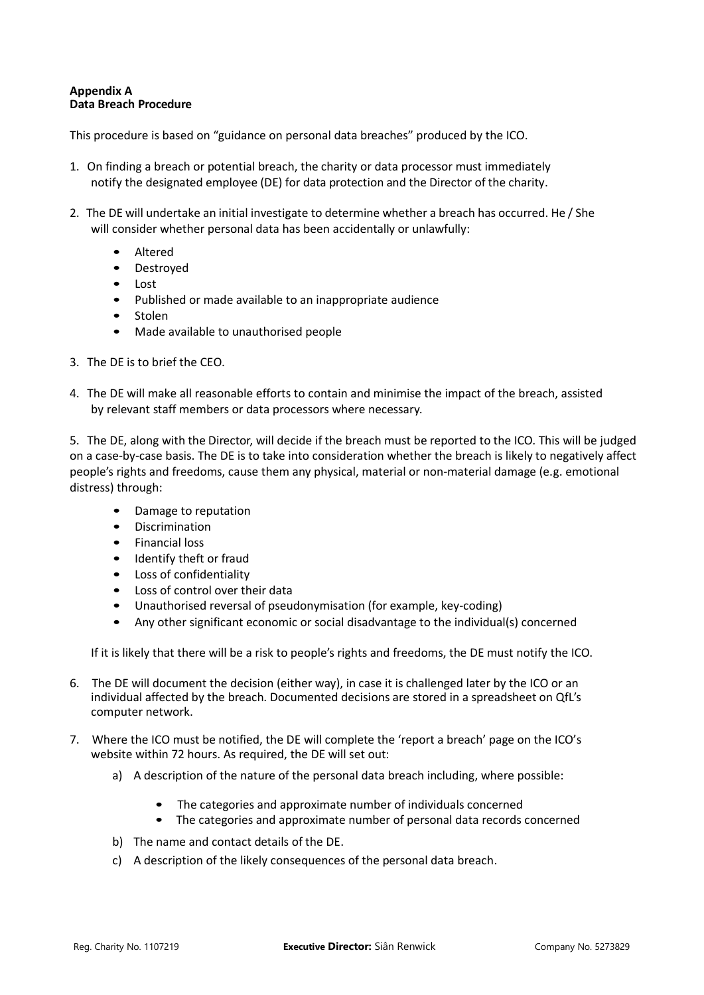### **Appendix A Data Breach Procedure**

This procedure is based on "guidance [on personal data breaches"](https://ico.org.uk/for-organisations/guide-to-the-general-data-protection-regulation-gdpr/personal-data-breaches/) produced by the ICO.

- 1. On finding a breach or potential breach, the charity or data processor must immediately notify the designated employee (DE) for data protection and the Director of the charity.
- 2. The DE will undertake an initial investigate to determine whether a breach has occurred. He / She will consider whether personal data has been accidentally or unlawfully:
	- **Altered**
	- Destroyed
	- Lost
	- Published or made available to an inappropriate audience
	- **Stolen**
	- Made available to unauthorised people
- 3. The DE is to brief the CEO.
- 4. The DE will make all reasonable efforts to contain and minimise the impact of the breach, assisted by relevant staff members or data processors where necessary.

5. The DE, along with the Director, will decide if the breach must be reported to the ICO. This will be judged on a case-by-case basis. The DE is to take into consideration whether the breach is likely to negatively affect people's rights and freedoms, cause them any physical, material or non-material damage (e.g. emotional distress) through:

- Damage to reputation
- Discrimination
- Financial loss
- Identify theft or fraud
- Loss of confidentiality
- Loss of control over their data
- Unauthorised reversal of pseudonymisation (for example, key-coding)
- Any other significant economic or social disadvantage to the individual(s) concerned

If it is likely that there will be a risk to people's rights and freedoms, the DE must notify the ICO.

- 6. The DE will document the decision (either way), in case it is challenged later by the ICO or an individual affected by the breach. Documented decisions are stored in a spreadsheet on QfL's computer network.
- 7. Where the ICO must be notified, the DE will complete th[e 'report a breach'](https://ico.org.uk/for-organisations/report-a-breach/) page on [the ICO's](https://ico.org.uk/for-organisations/report-a-breach/)  [website](https://ico.org.uk/for-organisations/report-a-breach/) within 72 hours. As required, the DE will set out:
	- a) A description of the nature of the personal data breach including, where possible:
		- The categories and approximate number of individuals concerned
		- The categories and approximate number of personal data records concerned
	- b) The name and contact details of the DE.
	- c) A description of the likely consequences of the personal data breach.